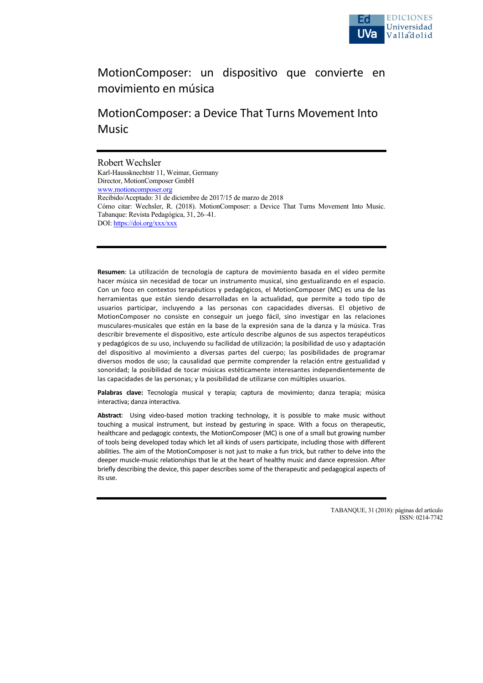

## MotionComposer: un dispositivo que convierte en movimiento en música

# MotionComposer: a Device That Turns Movement Into Music

#### Robert Wechsler

Karl-Haussknechtstr 11, Weimar, Germany Director, MotionComposer GmbH www.motioncomposer.org Recibido/Aceptado: 31 de diciembre de 2017/15 de marzo de 2018 Cómo citar: Wechsler, R. (2018). MotionComposer: a Device That Turns Movement Into Music. Tabanque: Revista Pedagógica, 31, 26–41. DOI: https://doi.org/xxx/xxx

**Resumen**: La utilización de tecnología de captura de movimiento basada en el vídeo permite hacer música sin necesidad de tocar un instrumento musical, sino gestualizando en el espacio. Con un foco en contextos terapéuticos y pedagógicos, el MotionComposer (MC) es una de las herramientas que están siendo desarrolladas en la actualidad, que permite a todo tipo de usuarios participar, incluyendo a las personas con capacidades diversas. El objetivo de MotionComposer no consiste en conseguir un juego fácil, sino investigar en las relaciones musculares-musicales que están en la base de la expresión sana de la danza y la música. Tras describir brevemente el dispositivo, este artículo describe algunos de sus aspectos terapéuticos y pedagógicos de su uso, incluyendo su facilidad de utilización; la posibilidad de uso y adaptación del dispositivo al movimiento a diversas partes del cuerpo; las posibilidades de programar diversos modos de uso; la causalidad que permite comprender la relación entre gestualidad y sonoridad; la posibilidad de tocar músicas estéticamente interesantes independientemente de las capacidades de las personas; y la posibilidad de utilizarse con múltiples usuarios.

Palabras clave: Tecnología musical y terapia; captura de movimiento; danza terapia; música interactiva; danza interactiva.

Abstract: Using video-based motion tracking technology, it is possible to make music without touching a musical instrument, but instead by gesturing in space. With a focus on therapeutic, healthcare and pedagogic contexts, the MotionComposer (MC) is one of a small but growing number of tools being developed today which let all kinds of users participate, including those with different abilities. The aim of the MotionComposer is not just to make a fun trick, but rather to delve into the deeper muscle-music relationships that lie at the heart of healthy music and dance expression. After briefly describing the device, this paper describes some of the therapeutic and pedagogical aspects of its use.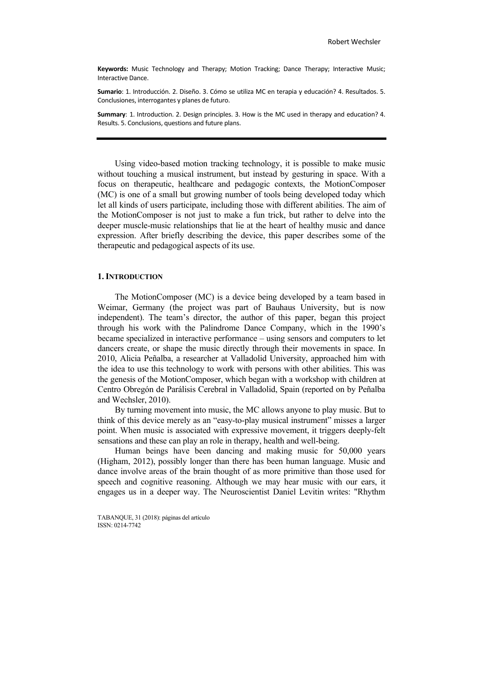**Keywords:** Music Technology and Therapy; Motion Tracking; Dance Therapy; Interactive Music; Interactive Dance.

**Sumario**: 1. Introducción. 2. Diseño. 3. Cómo se utiliza MC en terapia y educación? 4. Resultados. 5. Conclusiones, interrogantes y planes de futuro.

**Summary**: 1. Introduction. 2. Design principles. 3. How is the MC used in therapy and education? 4. Results. 5. Conclusions, questions and future plans.

Using video-based motion tracking technology, it is possible to make music without touching a musical instrument, but instead by gesturing in space. With a focus on therapeutic, healthcare and pedagogic contexts, the MotionComposer (MC) is one of a small but growing number of tools being developed today which let all kinds of users participate, including those with different abilities. The aim of the MotionComposer is not just to make a fun trick, but rather to delve into the deeper muscle-music relationships that lie at the heart of healthy music and dance expression. After briefly describing the device, this paper describes some of the therapeutic and pedagogical aspects of its use.

#### **1.INTRODUCTION**

The MotionComposer (MC) is a device being developed by a team based in Weimar, Germany (the project was part of Bauhaus University, but is now independent). The team's director, the author of this paper, began this project through his work with the Palindrome Dance Company, which in the 1990's became specialized in interactive performance – using sensors and computers to let dancers create, or shape the music directly through their movements in space. In 2010, Alicia Peñalba, a researcher at Valladolid University, approached him with the idea to use this technology to work with persons with other abilities. This was the genesis of the MotionComposer, which began with a workshop with children at Centro Obregón de Parálisis Cerebral in Valladolid, Spain (reported on by Peñalba and Wechsler, 2010).

By turning movement into music, the MC allows anyone to play music. But to think of this device merely as an "easy-to-play musical instrument" misses a larger point. When music is associated with expressive movement, it triggers deeply-felt sensations and these can play an role in therapy, health and well-being.

Human beings have been dancing and making music for 50,000 years (Higham, 2012), possibly longer than there has been human language. Music and dance involve areas of the brain thought of as more primitive than those used for speech and cognitive reasoning. Although we may hear music with our ears, it engages us in a deeper way. The Neuroscientist Daniel Levitin writes: "Rhythm

TABANQUE, 31 (2018): páginas del artículo ISSN: 0214-7742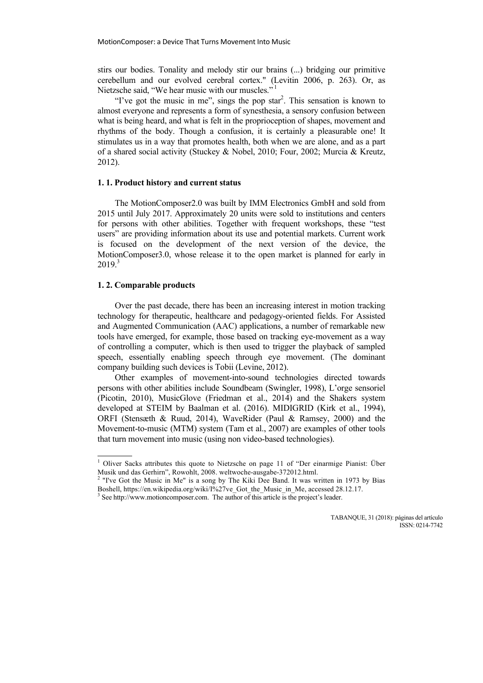stirs our bodies. Tonality and melody stir our brains (...) bridging our primitive cerebellum and our evolved cerebral cortex." (Levitin 2006, p. 263). Or, as Nietzsche said, "We hear music with our muscles."<sup>1</sup>

"I've got the music in me", sings the pop star<sup>2</sup>. This sensation is known to almost everyone and represents a form of synesthesia, a sensory confusion between what is being heard, and what is felt in the proprioception of shapes, movement and rhythms of the body. Though a confusion, it is certainly a pleasurable one! It stimulates us in a way that promotes health, both when we are alone, and as a part of a shared social activity (Stuckey & Nobel, 2010; Four, 2002; Murcia & Kreutz, 2012).

## **1. 1. Product history and current status**

The MotionComposer2.0 was built by IMM Electronics GmbH and sold from 2015 until July 2017. Approximately 20 units were sold to institutions and centers for persons with other abilities. Together with frequent workshops, these "test users" are providing information about its use and potential markets. Current work is focused on the development of the next version of the device, the MotionComposer3.0, whose release it to the open market is planned for early in  $2019.3$ 

#### **1. 2. Comparable products**

Over the past decade, there has been an increasing interest in motion tracking technology for therapeutic, healthcare and pedagogy-oriented fields. For Assisted and Augmented Communication (AAC) applications, a number of remarkable new tools have emerged, for example, those based on tracking eye-movement as a way of controlling a computer, which is then used to trigger the playback of sampled speech, essentially enabling speech through eye movement. (The dominant company building such devices is Tobii (Levine, 2012).

Other examples of movement-into-sound technologies directed towards persons with other abilities include Soundbeam (Swingler, 1998), L'orge sensoriel (Picotin, 2010), MusicGlove (Friedman et al., 2014) and the Shakers system developed at STEIM by Baalman et al. (2016). MIDIGRID (Kirk et al., 1994), ORFI (Stensæth & Ruud, 2014), WaveRider (Paul & Ramsey, 2000) and the Movement-to-music (MTM) system (Tam et al., 2007) are examples of other tools that turn movement into music (using non video-based technologies).

<sup>&</sup>lt;sup>1</sup> Oliver Sacks attributes this quote to Nietzsche on page 11 of "Der einarmige Pianist: Über Musik und das Gerhirn", Rowohlt, 2008. weltwoche-ausgabe-372012.html. <sup>2</sup> "I've Got the Music in Me" is a song by The Kiki Dee Band. It was written in 1973 by Bias

Boshell, https://en.wikipedia.org/wiki/I%27ve\_Got\_the\_Music\_in\_Me, accessed 28.12.17.

<sup>&</sup>lt;sup>3</sup> See http://www.motioncomposer.com. The author of this article is the project's leader.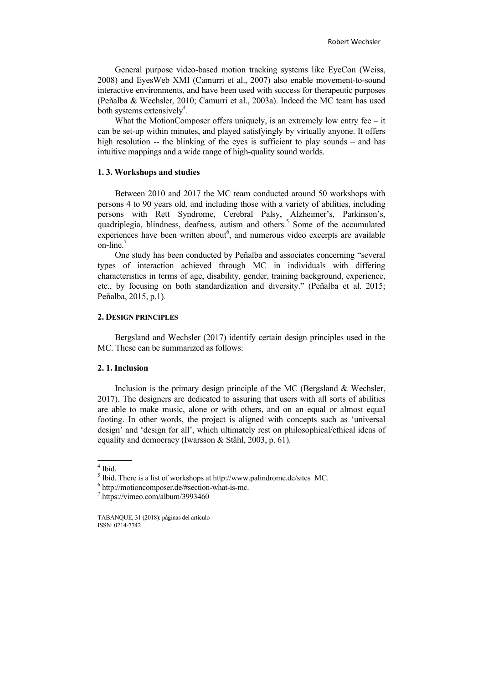General purpose video-based motion tracking systems like EyeCon (Weiss, 2008) and EyesWeb XMI (Camurri et al., 2007) also enable movement-to-sound interactive environments, and have been used with success for therapeutic purposes (Peñalba & Wechsler, 2010; Camurri et al., 2003a). Indeed the MC team has used both systems extensively<sup>4</sup>.

What the MotionComposer offers uniquely, is an extremely low entry fee – it can be set-up within minutes, and played satisfyingly by virtually anyone. It offers high resolution -- the blinking of the eyes is sufficient to play sounds – and has intuitive mappings and a wide range of high-quality sound worlds.

## **1. 3. Workshops and studies**

Between 2010 and 2017 the MC team conducted around 50 workshops with persons 4 to 90 years old, and including those with a variety of abilities, including persons with Rett Syndrome, Cerebral Palsy, Alzheimer's, Parkinson's, quadriplegia, blindness, deafness, autism and others.<sup>5</sup> Some of the accumulated  $\epsilon$ xperiences have been written about $\epsilon$ , and numerous video excerpts are available on-line.7

One study has been conducted by Peñalba and associates concerning "several types of interaction achieved through MC in individuals with differing characteristics in terms of age, disability, gender, training background, experience, etc., by focusing on both standardization and diversity." (Peñalba et al. 2015; Peñalba, 2015, p.1).

## **2. DESIGN PRINCIPLES**

Bergsland and Wechsler (2017) identify certain design principles used in the MC. These can be summarized as follows:

## **2. 1. Inclusion**

Inclusion is the primary design principle of the MC (Bergsland & Wechsler, 2017). The designers are dedicated to assuring that users with all sorts of abilities are able to make music, alone or with others, and on an equal or almost equal footing. In other words, the project is aligned with concepts such as 'universal design' and 'design for all', which ultimately rest on philosophical/ethical ideas of equality and democracy (Iwarsson & Ståhl, 2003, p. 61).

 $4$  Ibid.

 $<sup>5</sup>$  Ibid. There is a list of workshops at http://www.palindrome.de/sites MC.</sup>

 $^6$  http://motioncomposer.de/#section-what-is-mc.<br> $^7$  https://vimeo.com/album/3993460

TABANQUE, 31 (2018): páginas del artículo ISSN: 0214-7742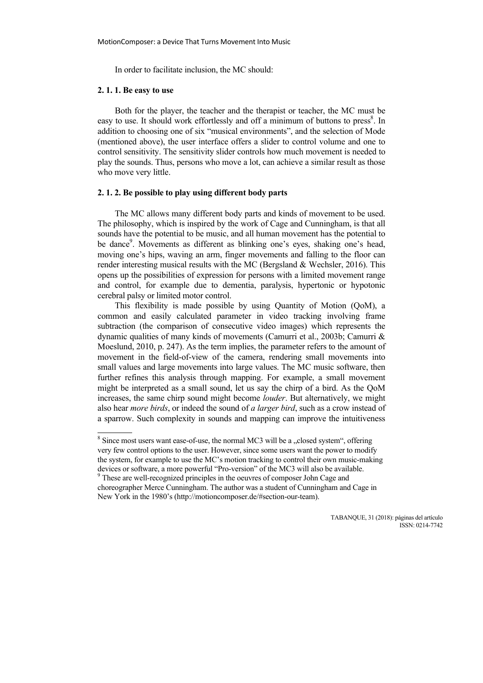In order to facilitate inclusion, the MC should:

#### **2. 1. 1. Be easy to use**

Both for the player, the teacher and the therapist or teacher, the MC must be easy to use. It should work effortlessly and off a minimum of buttons to press<sup>8</sup>. In addition to choosing one of six "musical environments", and the selection of Mode (mentioned above), the user interface offers a slider to control volume and one to control sensitivity. The sensitivity slider controls how much movement is needed to play the sounds. Thus, persons who move a lot, can achieve a similar result as those who move very little.

## **2. 1. 2. Be possible to play using different body parts**

The MC allows many different body parts and kinds of movement to be used. The philosophy, which is inspired by the work of Cage and Cunningham, is that all sounds have the potential to be music, and all human movement has the potential to be dance<sup>9</sup>. Movements as different as blinking one's eyes, shaking one's head, moving one's hips, waving an arm, finger movements and falling to the floor can render interesting musical results with the MC (Bergsland & Wechsler, 2016). This opens up the possibilities of expression for persons with a limited movement range and control, for example due to dementia, paralysis, hypertonic or hypotonic cerebral palsy or limited motor control.

This flexibility is made possible by using Quantity of Motion (QoM), a common and easily calculated parameter in video tracking involving frame subtraction (the comparison of consecutive video images) which represents the dynamic qualities of many kinds of movements (Camurri et al., 2003b; Camurri & Moeslund, 2010, p. 247). As the term implies, the parameter refers to the amount of movement in the field-of-view of the camera, rendering small movements into small values and large movements into large values. The MC music software, then further refines this analysis through mapping. For example, a small movement might be interpreted as a small sound, let us say the chirp of a bird. As the QoM increases, the same chirp sound might become *louder*. But alternatively, we might also hear *more birds*, or indeed the sound of *a larger bird*, such as a crow instead of a sparrow. Such complexity in sounds and mapping can improve the intuitiveness

 $8$  Since most users want ease-of-use, the normal MC3 will be a "closed system", offering very few control options to the user. However, since some users want the power to modify the system, for example to use the MC's motion tracking to control their own music-making devices or software, a more powerful "Pro-version" of the MC3 will also be available. <sup>9</sup> These are well-recognized principles in the oeuvres of composer John Cage and

choreographer Merce Cunningham. The author was a student of Cunningham and Cage in New York in the 1980's (http://motioncomposer.de/#section-our-team).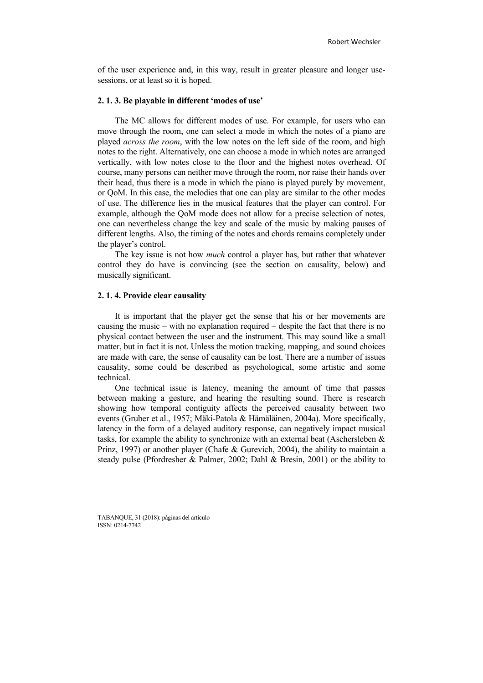of the user experience and, in this way, result in greater pleasure and longer usesessions, or at least so it is hoped.

## **2. 1. 3. Be playable in different 'modes of use'**

The MC allows for different modes of use. For example, for users who can move through the room, one can select a mode in which the notes of a piano are played *across the room*, with the low notes on the left side of the room, and high notes to the right. Alternatively, one can choose a mode in which notes are arranged vertically, with low notes close to the floor and the highest notes overhead. Of course, many persons can neither move through the room, nor raise their hands over their head, thus there is a mode in which the piano is played purely by movement, or QoM. In this case, the melodies that one can play are similar to the other modes of use. The difference lies in the musical features that the player can control. For example, although the QoM mode does not allow for a precise selection of notes, one can nevertheless change the key and scale of the music by making pauses of different lengths. Also, the timing of the notes and chords remains completely under the player's control.

The key issue is not how *much* control a player has, but rather that whatever control they do have is convincing (see the section on causality, below) and musically significant.

#### **2. 1. 4. Provide clear causality**

It is important that the player get the sense that his or her movements are causing the music – with no explanation required – despite the fact that there is no physical contact between the user and the instrument. This may sound like a small matter, but in fact it is not. Unless the motion tracking, mapping, and sound choices are made with care, the sense of causality can be lost. There are a number of issues causality, some could be described as psychological, some artistic and some technical.

One technical issue is latency, meaning the amount of time that passes between making a gesture, and hearing the resulting sound. There is research showing how temporal contiguity affects the perceived causality between two events (Gruber et al., 1957; Mäki-Patola & Hämäläinen, 2004a). More specifically, latency in the form of a delayed auditory response, can negatively impact musical tasks, for example the ability to synchronize with an external beat (Aschersleben  $\&$ Prinz, 1997) or another player (Chafe & Gurevich, 2004), the ability to maintain a steady pulse (Pfordresher & Palmer, 2002; Dahl & Bresin, 2001) or the ability to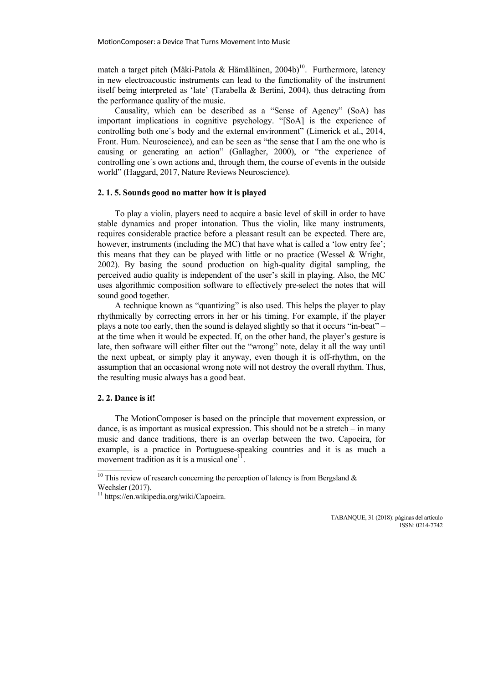match a target pitch (Mäki-Patola & Hämäläinen, 2004b)<sup>10</sup>. Furthermore, latency in new electroacoustic instruments can lead to the functionality of the instrument itself being interpreted as 'late' (Tarabella & Bertini, 2004), thus detracting from the performance quality of the music.

Causality, which can be described as a "Sense of Agency" (SoA) has important implications in cognitive psychology. "[SoA] is the experience of controlling both one´s body and the external environment" (Limerick et al., 2014, Front. Hum. Neuroscience), and can be seen as "the sense that I am the one who is causing or generating an action" (Gallagher, 2000), or "the experience of controlling one´s own actions and, through them, the course of events in the outside world" (Haggard, 2017, Nature Reviews Neuroscience).

#### **2. 1. 5. Sounds good no matter how it is played**

To play a violin, players need to acquire a basic level of skill in order to have stable dynamics and proper intonation. Thus the violin, like many instruments, requires considerable practice before a pleasant result can be expected. There are, however, instruments (including the MC) that have what is called a 'low entry fee'; this means that they can be played with little or no practice (Wessel & Wright, 2002). By basing the sound production on high-quality digital sampling, the perceived audio quality is independent of the user's skill in playing. Also, the MC uses algorithmic composition software to effectively pre-select the notes that will sound good together.

A technique known as "quantizing" is also used. This helps the player to play rhythmically by correcting errors in her or his timing. For example, if the player plays a note too early, then the sound is delayed slightly so that it occurs "in-beat" – at the time when it would be expected. If, on the other hand, the player's gesture is late, then software will either filter out the "wrong" note, delay it all the way until the next upbeat, or simply play it anyway, even though it is off-rhythm, on the assumption that an occasional wrong note will not destroy the overall rhythm. Thus, the resulting music always has a good beat.

## **2. 2. Dance is it!**

The MotionComposer is based on the principle that movement expression, or dance, is as important as musical expression. This should not be a stretch  $-$  in many music and dance traditions, there is an overlap between the two. Capoeira, for example, is a practice in Portuguese-speaking countries and it is as much a movement tradition as it is a musical one<sup>1</sup>

<sup>&</sup>lt;sup>10</sup> This review of research concerning the perception of latency is from Bergsland  $\&$ Wechsler (2017).

<sup>&</sup>lt;sup>11</sup> https://en.wikipedia.org/wiki/Capoeira.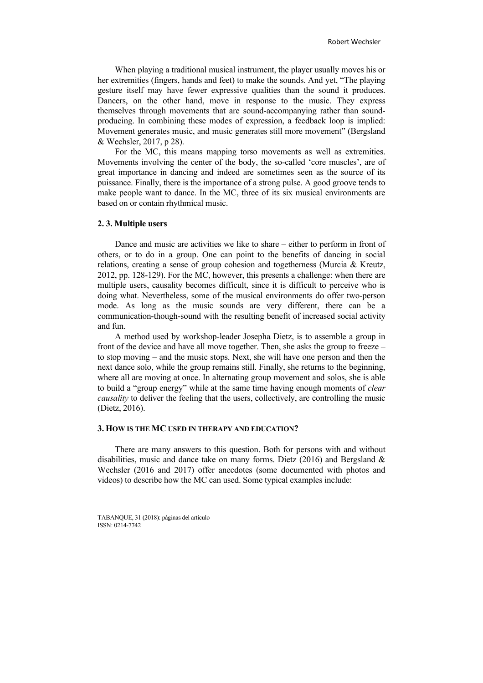When playing a traditional musical instrument, the player usually moves his or her extremities (fingers, hands and feet) to make the sounds. And yet, "The playing gesture itself may have fewer expressive qualities than the sound it produces. Dancers, on the other hand, move in response to the music. They express themselves through movements that are sound-accompanying rather than soundproducing. In combining these modes of expression, a feedback loop is implied: Movement generates music, and music generates still more movement" (Bergsland & Wechsler, 2017, p 28).

For the MC, this means mapping torso movements as well as extremities. Movements involving the center of the body, the so-called 'core muscles', are of great importance in dancing and indeed are sometimes seen as the source of its puissance. Finally, there is the importance of a strong pulse. A good groove tends to make people want to dance. In the MC, three of its six musical environments are based on or contain rhythmical music.

## **2. 3. Multiple users**

Dance and music are activities we like to share – either to perform in front of others, or to do in a group. One can point to the benefits of dancing in social relations, creating a sense of group cohesion and togetherness (Murcia & Kreutz, 2012, pp. 128-129). For the MC, however, this presents a challenge: when there are multiple users, causality becomes difficult, since it is difficult to perceive who is doing what. Nevertheless, some of the musical environments do offer two-person mode. As long as the music sounds are very different, there can be a communication-though-sound with the resulting benefit of increased social activity and fun.

A method used by workshop-leader Josepha Dietz, is to assemble a group in front of the device and have all move together. Then, she asks the group to freeze – to stop moving – and the music stops. Next, she will have one person and then the next dance solo, while the group remains still. Finally, she returns to the beginning, where all are moving at once. In alternating group movement and solos, she is able to build a "group energy" while at the same time having enough moments of *clear causality* to deliver the feeling that the users, collectively, are controlling the music (Dietz, 2016).

## **3. HOW IS THE MC USED IN THERAPY AND EDUCATION?**

There are many answers to this question. Both for persons with and without disabilities, music and dance take on many forms. Dietz (2016) and Bergsland & Wechsler (2016 and 2017) offer anecdotes (some documented with photos and videos) to describe how the MC can used. Some typical examples include:

TABANQUE, 31 (2018): páginas del artículo ISSN: 0214-7742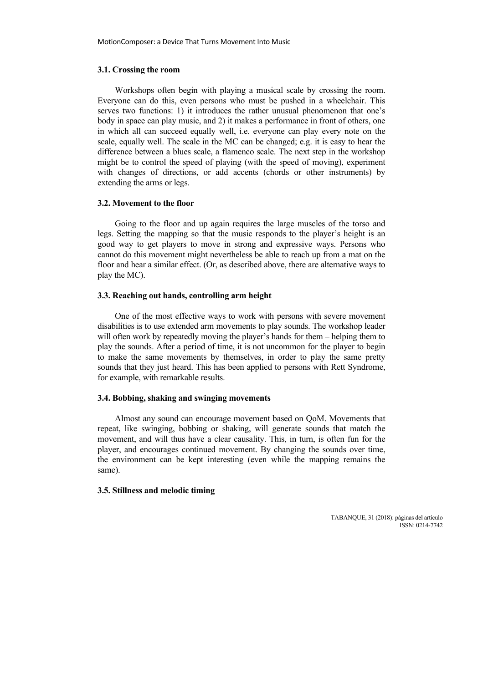## **3.1. Crossing the room**

Workshops often begin with playing a musical scale by crossing the room. Everyone can do this, even persons who must be pushed in a wheelchair. This serves two functions: 1) it introduces the rather unusual phenomenon that one's body in space can play music, and 2) it makes a performance in front of others, one in which all can succeed equally well, i.e. everyone can play every note on the scale, equally well. The scale in the MC can be changed; e.g. it is easy to hear the difference between a blues scale, a flamenco scale. The next step in the workshop might be to control the speed of playing (with the speed of moving), experiment with changes of directions, or add accents (chords or other instruments) by extending the arms or legs.

## **3.2. Movement to the floor**

Going to the floor and up again requires the large muscles of the torso and legs. Setting the mapping so that the music responds to the player's height is an good way to get players to move in strong and expressive ways. Persons who cannot do this movement might nevertheless be able to reach up from a mat on the floor and hear a similar effect. (Or, as described above, there are alternative ways to play the MC).

#### **3.3. Reaching out hands, controlling arm height**

One of the most effective ways to work with persons with severe movement disabilities is to use extended arm movements to play sounds. The workshop leader will often work by repeatedly moving the player's hands for them – helping them to play the sounds. After a period of time, it is not uncommon for the player to begin to make the same movements by themselves, in order to play the same pretty sounds that they just heard. This has been applied to persons with Rett Syndrome, for example, with remarkable results.

## **3.4. Bobbing, shaking and swinging movements**

Almost any sound can encourage movement based on QoM. Movements that repeat, like swinging, bobbing or shaking, will generate sounds that match the movement, and will thus have a clear causality. This, in turn, is often fun for the player, and encourages continued movement. By changing the sounds over time, the environment can be kept interesting (even while the mapping remains the same).

#### **3.5. Stillness and melodic timing**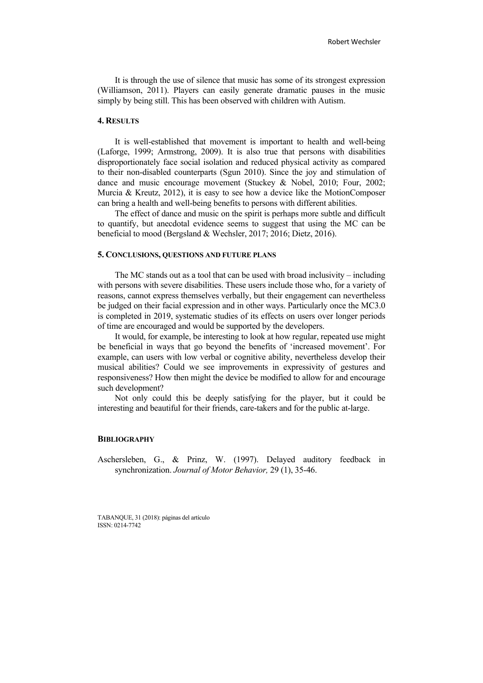It is through the use of silence that music has some of its strongest expression (Williamson, 2011). Players can easily generate dramatic pauses in the music simply by being still. This has been observed with children with Autism.

## **4. RESULTS**

It is well-established that movement is important to health and well-being (Laforge, 1999; Armstrong, 2009). It is also true that persons with disabilities disproportionately face social isolation and reduced physical activity as compared to their non-disabled counterparts (Sgun 2010). Since the joy and stimulation of dance and music encourage movement (Stuckey & Nobel, 2010; Four, 2002; Murcia & Kreutz, 2012), it is easy to see how a device like the MotionComposer can bring a health and well-being benefits to persons with different abilities.

The effect of dance and music on the spirit is perhaps more subtle and difficult to quantify, but anecdotal evidence seems to suggest that using the MC can be beneficial to mood (Bergsland & Wechsler, 2017; 2016; Dietz, 2016).

## **5. CONCLUSIONS, QUESTIONS AND FUTURE PLANS**

The MC stands out as a tool that can be used with broad inclusivity – including with persons with severe disabilities. These users include those who, for a variety of reasons, cannot express themselves verbally, but their engagement can nevertheless be judged on their facial expression and in other ways. Particularly once the MC3.0 is completed in 2019, systematic studies of its effects on users over longer periods of time are encouraged and would be supported by the developers.

It would, for example, be interesting to look at how regular, repeated use might be beneficial in ways that go beyond the benefits of 'increased movement'. For example, can users with low verbal or cognitive ability, nevertheless develop their musical abilities? Could we see improvements in expressivity of gestures and responsiveness? How then might the device be modified to allow for and encourage such development?

Not only could this be deeply satisfying for the player, but it could be interesting and beautiful for their friends, care-takers and for the public at-large.

## **BIBLIOGRAPHY**

Aschersleben, G., & Prinz, W. (1997). Delayed auditory feedback in synchronization. *Journal of Motor Behavior,* 29 (1), 35-46.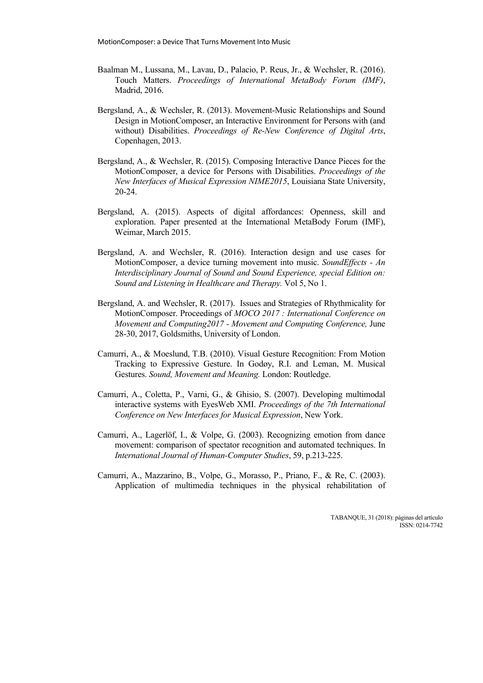- Baalman M., Lussana, M., Lavau, D., Palacio, P. Reus, Jr., & Wechsler, R. (2016). Touch Matters. *Proceedings of International MetaBody Forum (IMF)*, Madrid, 2016.
- Bergsland, A., & Wechsler, R. (2013). Movement-Music Relationships and Sound Design in MotionComposer, an Interactive Environment for Persons with (and without) Disabilities. *Proceedings of Re-New Conference of Digital Arts*, Copenhagen, 2013.
- Bergsland, A., & Wechsler, R. (2015). Composing Interactive Dance Pieces for the MotionComposer, a device for Persons with Disabilities. *Proceedings of the New Interfaces of Musical Expression NIME2015*, Louisiana State University, 20-24.
- Bergsland, A. (2015). Aspects of digital affordances: Openness, skill and exploration. Paper presented at the International MetaBody Forum (IMF), Weimar, March 2015.
- Bergsland, A. and Wechsler, R. (2016). Interaction design and use cases for MotionComposer, a device turning movement into music. *SoundEffects - An Interdisciplinary Journal of Sound and Sound Experience, special Edition on: Sound and Listening in Healthcare and Therapy.* Vol 5, No 1.
- Bergsland, A. and Wechsler, R. (2017). Issues and Strategies of Rhythmicality for MotionComposer. Proceedings of *MOCO 2017 : International Conference on Movement and Computing2017 - Movement and Computing Conference,* June 28-30, 2017, Goldsmiths, University of London.
- Camurri, A., & Moeslund, T.B. (2010). Visual Gesture Recognition: From Motion Tracking to Expressive Gesture. In Godøy, R.I. and Leman, M. Musical Gestures. *Sound, Movement and Meaning.* London: Routledge.
- Camurri, A., Coletta, P., Varni, G., & Ghisio, S. (2007). Developing multimodal interactive systems with EyesWeb XMI. *Proceedings of the 7th International Conference on New Interfaces for Musical Expression*, New York.
- Camurri, A., Lagerlöf, I., & Volpe, G. (2003). Recognizing emotion from dance movement: comparison of spectator recognition and automated techniques. In *International Journal of Human-Computer Studies*, 59, p.213-225.
- Camurri, A., Mazzarino, B., Volpe, G., Morasso, P., Priano, F., & Re, C. (2003). Application of multimedia techniques in the physical rehabilitation of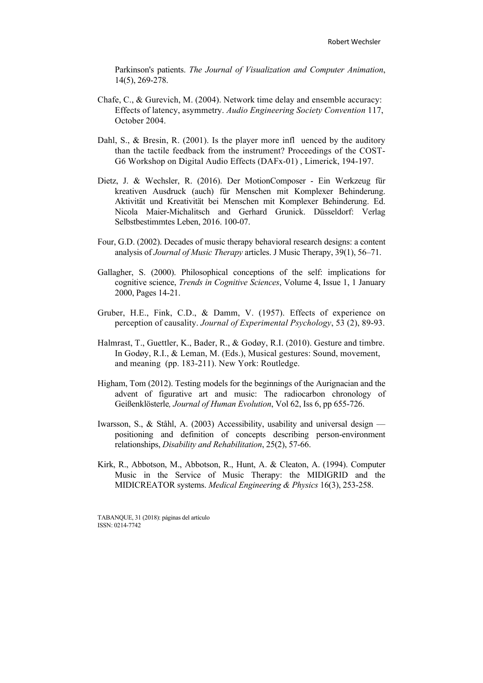Parkinson's patients. *The Journal of Visualization and Computer Animation*, 14(5), 269-278.

- Chafe, C., & Gurevich, M. (2004). Network time delay and ensemble accuracy: Effects of latency, asymmetry. *Audio Engineering Society Convention* 117, October 2004.
- Dahl, S., & Bresin, R. (2001). Is the player more infl uenced by the auditory than the tactile feedback from the instrument? Proceedings of the COST-G6 Workshop on Digital Audio Effects (DAFx-01) , Limerick, 194-197.
- Dietz, J. & Wechsler, R. (2016). Der MotionComposer Ein Werkzeug für kreativen Ausdruck (auch) für Menschen mit Komplexer Behinderung. Aktivität und Kreativität bei Menschen mit Komplexer Behinderung. Ed. Nicola Maier-Michalitsch and Gerhard Grunick. Düsseldorf: Verlag Selbstbestimmtes Leben, 2016. 100-07.
- Four, G.D. (2002). Decades of music therapy behavioral research designs: a content analysis of *Journal of Music Therapy* articles. J Music Therapy, 39(1), 56–71.
- Gallagher, S. (2000). Philosophical conceptions of the self: implications for cognitive science, *Trends in Cognitive Sciences*, Volume 4, Issue 1, 1 January 2000, Pages 14-21.
- Gruber, H.E., Fink, C.D., & Damm, V. (1957). Effects of experience on perception of causality. *Journal of Experimental Psychology*, 53 (2), 89-93.
- Halmrast, T., Guettler, K., Bader, R., & Godøy, R.I. (2010). Gesture and timbre. In Godøy, R.I., & Leman, M. (Eds.), Musical gestures: Sound, movement, and meaning (pp. 183-211). New York: Routledge.
- Higham, Tom (2012). Testing models for the beginnings of the Aurignacian and the advent of figurative art and music: The radiocarbon chronology of Geißenklösterle*, Journal of Human Evolution*, Vol 62, Iss 6, pp 655-726.
- Iwarsson, S., & Ståhl, A. (2003) Accessibility, usability and universal design positioning and definition of concepts describing person-environment relationships, *Disability and Rehabilitation*, 25(2), 57-66.
- Kirk, R., Abbotson, M., Abbotson, R., Hunt, A. & Cleaton, A. (1994). Computer Music in the Service of Music Therapy: the MIDIGRID and the MIDICREATOR systems. *Medical Engineering & Physics* 16(3), 253-258.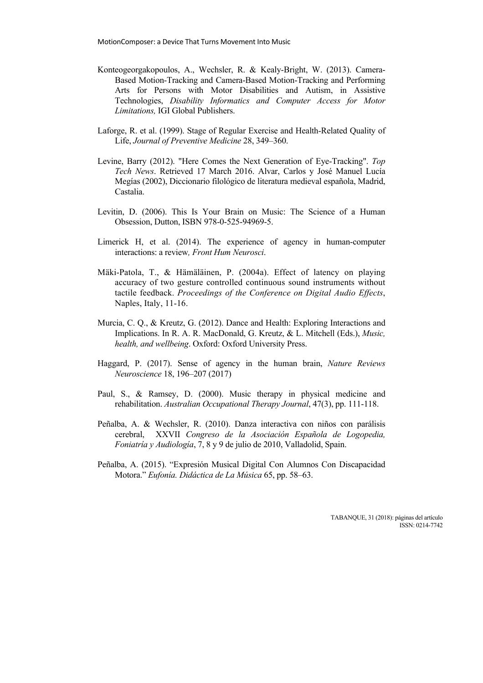- Konteogeorgakopoulos, A., Wechsler, R. & Kealy-Bright, W. (2013). Camera-Based Motion-Tracking and Camera-Based Motion-Tracking and Performing Arts for Persons with Motor Disabilities and Autism, in Assistive Technologies, *Disability Informatics and Computer Access for Motor Limitations,* IGI Global Publishers.
- Laforge, R. et al. (1999). Stage of Regular Exercise and Health-Related Quality of Life, *Journal of Preventive Medicine* 28, 349–360.
- Levine, Barry (2012). "Here Comes the Next Generation of Eye-Tracking". *Top Tech News*. Retrieved 17 March 2016. Alvar, Carlos y José Manuel Lucía Megías (2002), Diccionario filológico de literatura medieval española, Madrid, Castalia.
- Levitin, D. (2006). This Is Your Brain on Music: The Science of a Human Obsession, Dutton, ISBN 978-0-525-94969-5.
- Limerick H, et al. (2014). The experience of agency in human-computer interactions: a review*, Front Hum Neurosci*.
- Mäki-Patola, T., & Hämäläinen, P. (2004a). Effect of latency on playing accuracy of two gesture controlled continuous sound instruments without tactile feedback. *Proceedings of the Conference on Digital Audio Effects*, Naples, Italy, 11-16.
- Murcia, C. Q., & Kreutz, G. (2012). Dance and Health: Exploring Interactions and Implications. In R. A. R. MacDonald, G. Kreutz, & L. Mitchell (Eds.), *Music, health, and wellbeing*. Oxford: Oxford University Press.
- Haggard, P. (2017). Sense of agency in the human brain, *Nature Reviews Neuroscience* 18, 196–207 (2017)
- Paul, S., & Ramsey, D. (2000). Music therapy in physical medicine and rehabilitation. *Australian Occupational Therapy Journal*, 47(3), pp. 111-118.
- Peñalba, A. & Wechsler, R. (2010). Danza interactiva con niños con parálisis cerebral, XXVII *Congreso de la Asociación Española de Logopedia, Foniatría y Audiología*, 7, 8 y 9 de julio de 2010, Valladolid, Spain.
- Peñalba, A. (2015). "Expresión Musical Digital Con Alumnos Con Discapacidad Motora." *Eufonía. Didáctica de La Música* 65, pp. 58–63.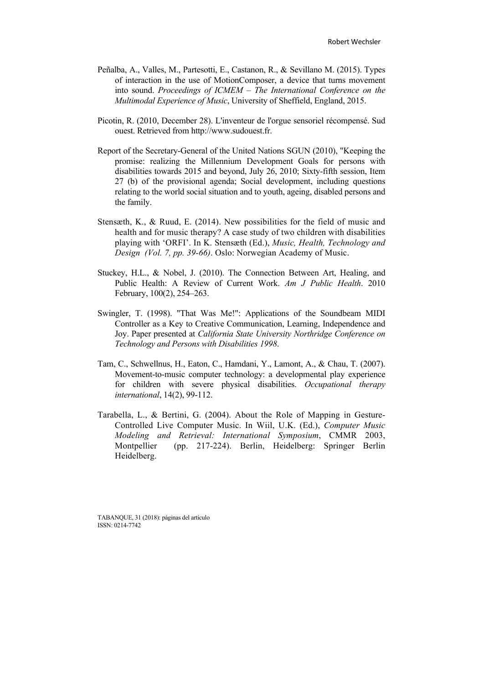- Peñalba, A., Valles, M., Partesotti, E., Castanon, R., & Sevillano M. (2015). Types of interaction in the use of MotionComposer, a device that turns movement into sound. *Proceedings of ICMEM – The International Conference on the Multimodal Experience of Music*, University of Sheffield, England, 2015.
- Picotin, R. (2010, December 28). L'inventeur de l'orgue sensoriel récompensé. Sud ouest. Retrieved from http://www.sudouest.fr.
- Report of the Secretary-General of the United Nations SGUN (2010), "Keeping the promise: realizing the Millennium Development Goals for persons with disabilities towards 2015 and beyond, July 26, 2010; Sixty-fifth session, Item 27 (b) of the provisional agenda; Social development, including questions relating to the world social situation and to youth, ageing, disabled persons and the family.
- Stensæth, K., & Ruud, E. (2014). New possibilities for the field of music and health and for music therapy? A case study of two children with disabilities playing with 'ORFI'. In K. Stensæth (Ed.), *Music, Health, Technology and Design (Vol. 7, pp. 39-66)*. Oslo: Norwegian Academy of Music.
- Stuckey, H.L., & Nobel, J. (2010). The Connection Between Art, Healing, and Public Health: A Review of Current Work. *Am J Public Health*. 2010 February, 100(2), 254–263.
- Swingler, T. (1998). "That Was Me!": Applications of the Soundbeam MIDI Controller as a Key to Creative Communication, Learning, Independence and Joy. Paper presented at *California State University Northridge Conference on Technology and Persons with Disabilities 1998*.
- Tam, C., Schwellnus, H., Eaton, C., Hamdani, Y., Lamont, A., & Chau, T. (2007). Movement-to-music computer technology: a developmental play experience for children with severe physical disabilities. *Occupational therapy international*, 14(2), 99-112.
- Tarabella, L., & Bertini, G. (2004). About the Role of Mapping in Gesture-Controlled Live Computer Music. In Wiil, U.K. (Ed.), *Computer Music Modeling and Retrieval: International Symposium*, CMMR 2003, Montpellier (pp. 217-224). Berlin, Heidelberg: Springer Berlin Heidelberg.